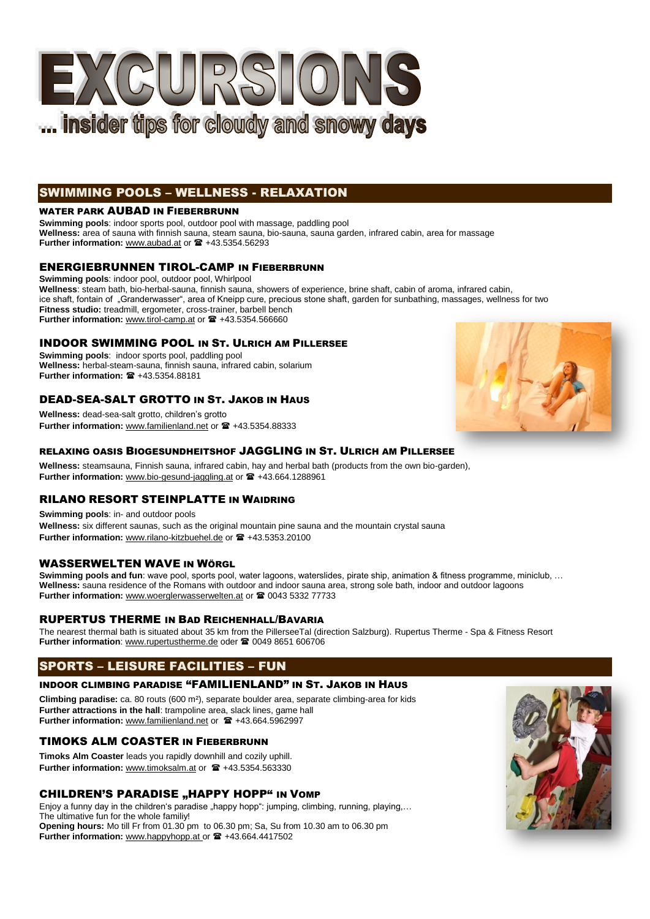

# SWIMMING POOLS – WELLNESS - RELAXATION

#### WATER PARK AUBAD IN FIEBERBRUNN

**Swimming pools**: indoor sports pool, outdoor pool with massage, paddling pool **Wellness:** area of sauna with finnish sauna, steam sauna, bio-sauna, sauna garden, infrared cabin, area for massage Further information: [www.aubad.at](http://www.aubad.at/) or  $\mathbf{\mathcal{F}}$  +43.5354.56293

## [ENERGIEBRUNNEN TIROL-CAMP](http://www.tirol-camp.at/) IN FIEBERBRUNN

**Swimming pools**: indoor pool, outdoor pool, Whirlpool **Wellness**: steam bath, bio-herbal-sauna, finnish sauna, showers of experience, brine shaft, cabin of aroma, infrared cabin, ice shaft, fontain of "Granderwasser", area of Kneipp cure, precious stone shaft, garden for sunbathing, massages, wellness for two **Fitness studio:** treadmill, ergometer, cross-trainer, barbell bench Further information: [www.tirol-camp.at](http://www.tirol-camp.at/) or  $\mathbf{\mathcal{F}}$  +43.5354.566660

## INDOOR SWIMMING POOL IN ST. ULRICH AM PILLERSEE

**Swimming pools**: indoor sports pool, paddling pool **Wellness:** herbal-steam-sauna, finnish sauna, infrared cabin, solarium **Further information: <sup>2</sup> +43.5354.88181** 

## DEAD-SEA-SALT GROTTO IN ST. JAKOB IN HAUS

**Wellness:** dead-sea-salt grotto, children's grotto Further information: [www.familienland.net](http://www.familienland.net/) or  $\mathbf{\mathcal{F}}$  +43.5354.88333

## RELAXING OASIS BIOGESUNDHEITSHOF JAGGLING IN ST. ULRICH AM PILLERSEE

**Wellness:** steamsauna, Finnish sauna, infrared cabin, hay and herbal bath (products from the own bio-garden), Further information: [www.bio-gesund-jaggling.at](http://www.bio-gesund-jaggling.at/) or  $\mathbf{F}$  +43.664.1288961

## RILANO RESORT STEINPLATTE IN WAIDRING

**Swimming pools**: in- and outdoor pools **Wellness:** six different saunas, such as the original mountain pine sauna and the mountain crystal sauna Further information: www.rilano-kitzbuehel.de or <sup>12</sup>+43.5353.20100

## WASSERWELTEN WAVE IN WÖRGL

**Swimming pools and fun**: wave pool, sports pool, water lagoons, waterslides, pirate ship, animation & fitness programme, miniclub, … **Wellness:** sauna residence of the Romans with outdoor and indoor sauna area, strong sole bath, indoor and outdoor lagoons Further information: [www.woerglerwasserwelten.at](http://www.woerglerwasserwelten.at/) or <sup>2</sup> 0043 5332 77733

## RUPERTUS THERME IN BAD REICHENHALL/BAVARIA

The nearest thermal bath is situated about 35 km from the PillerseeTal (direction Salzburg)[. Rupertus Therme](http://www.rupertustherme.de/) - Spa & Fitness Resort Further information[: www.rupertustherme.de](http://www.rupertustherme.de/) oder <sup>2</sup>0049 8651 606706

# SPORTS – LEISURE FACILITIES – FUN

#### INDOOR CLIMBING PARADISE "FAMILIENLAND" IN ST. JAKOB IN HAUS

**Climbing paradise:** ca. 80 routs (600 m²), separate boulder area, separate climbing-area for kids **Further attractions in the hall**: trampoline area, slack lines, game hall **Further information:** www.familienland.net or  $\mathbf{F}$  +43.664.5962997

## TIMOKS ALM COASTER IN FIEBERBRUNN

**Timoks Alm Coaster** leads you rapidly downhill and cozily uphill. Further information: www.timoksalm.at or  $\mathbf{\mathcal{F}}$  +43.5354.563330

## CHILDREN'S PARADISE "HAPPY HOPP" IN VOMP

Enjoy a funny day in the children's paradise "happy hopp": jumping, climbing, running, playing,... The ultimative fun for the whole familiy! **Opening hours:** Mo till Fr from 01.30 pm to 06.30 pm; Sa, Su from 10.30 am to 06.30 pm Further information: www.happyhopp.at or  $\mathbf{\mathcal{F}}$  +43.664.4417502



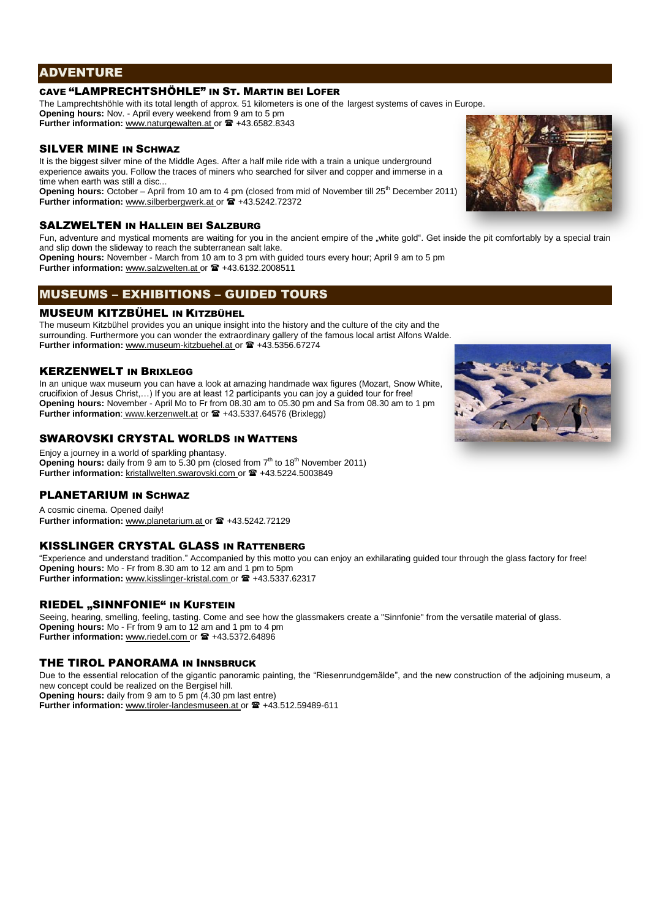## ADVENTURE

## CAVE "LAMPRECHTSHÖHLE" IN ST. MARTIN BEI LOFER

The Lamprechtshöhle with its total length of approx. 51 kilometers is one of the largest systems of caves in Europe.

**Opening hours:** Nov. - April every weekend from 9 am to 5 pm Further information: [www.naturgewalten.at](http://www.naturgewalten.at/) or  $\mathbf{\mathcal{F}}$  +43.6582.8343

## SILVER MINE IN SCHWAZ

It is the biggest silver mine of the Middle Ages. After a half mile ride with a train a unique underground experience awaits you. Follow the traces of miners who searched for silver and copper and immerse in a time when earth was still a disc...

**Opening hours:** October – April from 10 am to 4 pm (closed from mid of November till 25<sup>th</sup> December 2011) Further information: [www.silberbergwerk.at](http://www.silberbergwerk.at/) or  $\mathbf{\hat{m}}$  +43.5242.72372

#### SALZWELTEN IN HALLEIN BEI SALZBURG

Fun, adventure and mystical moments are waiting for you in the ancient empire of the "white gold". Get inside the pit comfortably by a special train and slip down the slideway to reach the subterranean salt lake.

**Opening hours:** November - March from 10 am to 3 pm with guided tours every hour; April 9 am to 5 pm Further information: [www.salzwelten.at](http://www.salzwelten.at/) or  $\mathbf{\mathcal{F}}$  +43.6132.2008511

# MUSEUMS – EXHIBITIONS – GUIDED TOURS

## MUSEUM KITZBÜHEL IN KITZBÜHEL

The museum Kitzbühel provides you an unique insight into the history and the culture of the city and the surrounding. Furthermore you can wonder the extraordinary gallery of the famous local artist Alfons Walde. Further information: www.museum-kitzbuehel.at or  $\mathbf{\mathcal{F}}$  +43.5356.67274

#### **KERZENWELT IN BRIXI FGG**

In an unique wax museum you can have a look at amazing handmade wax figures (Mozart, Snow White crucifixion of Jesus Christ,…) If you are at least 12 participants you can joy a guided tour for free! **Opening hours:** November - April Mo to Fr from 08.30 am to 05.30 pm and Sa from 08.30 am to 1 pm **Further information:** [www.kerzenwelt.at](http://www.kerzenwelt.at/) or  $\mathbf{F}$  +43.5337.64576 (Brixlegg)

## SWAROVSKI CRYSTAL WORLDS IN WATTENS

Enjoy a journey in a world of sparkling phantasy. **Opening hours:** daily from 9 am to 5.30 pm (closed from 7<sup>th</sup> to 18<sup>th</sup> November 2011) Further information: [kristallwelten.swarovski.com](http://www.silberbergwerk.at/) or <sup>2</sup> +43.5224.5003849

#### PLANETARIUM IN SCHWAZ

A cosmic cinema. Opened daily! Further information: [www.planetarium.at](http://www.planetarium.at/) or  $\mathbf{\mathcal{F}}$  +43.5242.72129

#### KISSLINGER CRYSTAL GLASS IN RATTENBERG

"Experience and understand tradition." Accompanied by this motto you can enjoy an exhilarating guided tour through the glass factory for free! **Opening hours:** Mo - Fr from 8.30 am to 12 am and 1 pm to 5pm **Further information:** [www.kisslinger-kristal.com](http://www.kisslinger-kristal.com/) or  $\mathbf{\mathbb{R}}$  +43.5337.62317

#### RIEDEL "SINNFONIE" IN KUFSTEIN

Seeing, hearing, smelling, feeling, tasting. Come and see how the glassmakers create a "Sinnfonie" from the versatile material of glass. **Opening hours:** Mo - Fr from 9 am to 12 am and 1 pm to 4 pm Further information: [www.riedel.com](http://www.riedel.com/) or  $\approx$  +43.5372.64896

#### THE TIROL PANORAMA IN INNSBRUCK

Due to the essential relocation of the gigantic panoramic painting, the "Riesenrundgemälde", and the new construction of the adjoining museum, a new concept could be realized on the Bergisel hill.

**Opening hours:** daily from 9 am to 5 pm (4.30 pm last entre) Further information: [www.tiroler-landesmuseen.at](http://www.tiroler-landesmuseen.at/) or  $\mathbf{\mathcal{F}}$  +43.512.59489-611



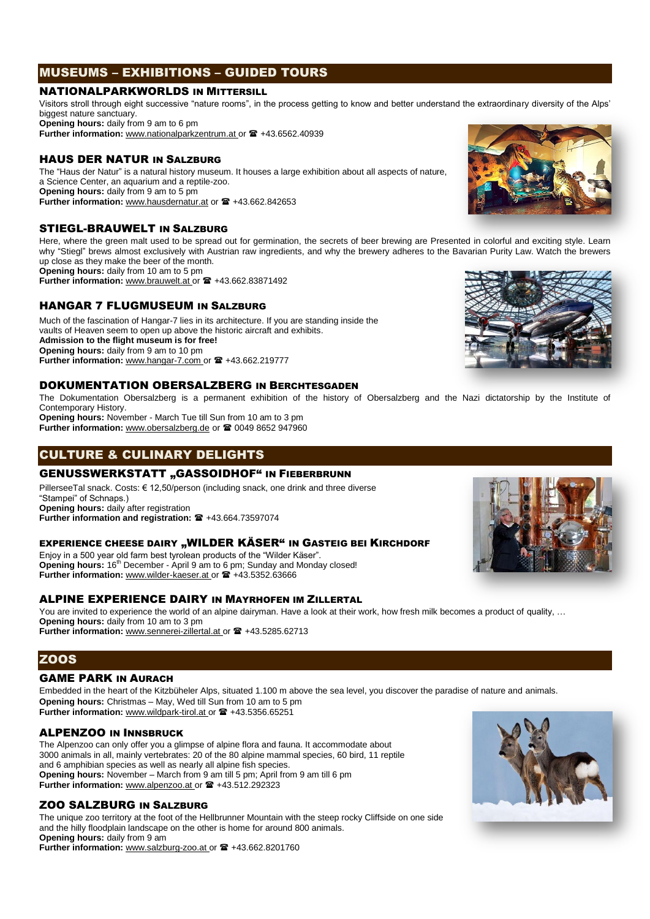# MUSEUMS – EXHIBITIONS – GUIDED TOURS

#### NATIONALPARKWORLDS IN MITTERSILL

Visitors stroll through eight successive "nature rooms", in the process getting to know and better understand the extraordinary diversity of the Alps' biggest nature sanctuary.

**Opening hours:** daily from 9 am to 6 pm

Further information: www.nationalparkzentrum.at or  $\mathbf{\mathcal{F}}$  +43.6562.40939

## HAUS DER NATUR IN SALZBURG

The "Haus der Natur" is a natural history museum. It houses a large exhibition about all aspects of nature, a Science Center, an aquarium and a reptile-zoo. **Opening hours:** daily from 9 am to 5 pm Further information: [www.hausdernatur.at](http://www.hausdernatur.at/) or <sup>1</sup>/<sub>43</sub>.662.842653

#### STIEGL-BRAUWELT IN SALZBURG

Here, where the green malt used to be spread out for germination, the secrets of beer brewing are Presented in colorful and exciting style. Learn why "Stiegl" brews almost exclusively with Austrian raw ingredients, and why the brewery adheres to the Bavarian Purity Law. Watch the brewers up close as they make the beer of the month.

**Opening hours:** daily from 10 am to 5 pm Further information: www.brauwelt.at or  $\mathbf{F}$  +43.662.83871492

# HANGAR 7 FLUGMUSEUM IN SALZBURG

Much of the fascination of Hangar-7 lies in its architecture. If you are standing inside the vaults of Heaven seem to open up above the historic aircraft and exhibits. **Admission to the flight museum is for free! Opening hours:** daily from 9 am to 10 pm Further information: www.hangar-7.com or <sup>2</sup>+43.662.219777

#### DOKUMENTATION OBERSALZBERG IN BERCHTESGADEN

The Dokumentation Obersalzberg is a permanent exhibition of the history of Obersalzberg and the Nazi dictatorship by the Institute of Contemporary History. **Opening hours:** November - March Tue till Sun from 10 am to 3 pm

Further information: [www.obersalzberg.de](http://www.obersalzberg.de/) or <sup>2</sup>0049 8652 947960

# CULTURE & CULINARY DELIGHTS

## **GENUSSWERKSTATT "GASSOIDHOF" IN FIEBERBRUNN**

PillerseeTal snack. Costs: € 12,50/person (including snack, one drink and three diverse "Stampei" of Schnaps.) **Opening hours:** daily after registration Further information and registration: <sup>2</sup>+43.664.73597074

#### EXPERIENCE CHEESE DAIRY "WILDER KÄSER" IN GASTEIG BEI KIRCHDORF

Enjoy in a 500 year old farm best tyrolean products of the "Wilder Käser". **Opening hours:** 16<sup>th</sup> December - April 9 am to 6 pm; Sunday and Monday closed! Further information: [www.wilder-kaeser.at](http://www.wilder-kaeser.at/) or <sup>2</sup>+43.5352.63666

#### ALPINE EXPERIENCE DAIRY IN MAYRHOFEN IM ZILLERTAL

You are invited to experience the world of an alpine dairyman. Have a look at their work, how fresh milk becomes a product of quality, ... **Opening hours:** daily from 10 am to 3 pm

Further information: [www.sennerei-zillertal.at](http://www.sennerei-zillertal.at/) or <sup>1</sup>+43.5285.62713

## **ZOOS**

## GAME PARK IN AURACH

Embedded in the heart of the Kitzbüheler Alps, situated 1.100 m above the sea level, you discover the paradise of nature and animals. **Opening hours:** Christmas – May, Wed till Sun from 10 am to 5 pm Further information: [www.wildpark-tirol.at](http://www.wildpark-tirol.at/) or <sup>2</sup>+43.5356.65251

#### ALPENZOO IN INNSBRUCK

The Alpenzoo can only offer you a glimpse of alpine flora and fauna. It accommodate about 3000 animals in all, mainly vertebrates: 20 of the 80 alpine mammal species, 60 bird, 11 reptile and 6 amphibian species as well as nearly all alpine fish species. **Opening hours:** November – March from 9 am till 5 pm; April from 9 am till 6 pm Further information: [www.alpenzoo.at](http://www.alpenzoo.at/) or  $\mathbf{F}$  +43.512.292323

#### ZOO SALZBURG IN SALZBURG

The unique zoo territory at the foot of the Hellbrunner Mountain with the steep rocky Cliffside on one side and the hilly floodplain landscape on the other is home for around 800 animals. **Opening hours:** daily from 9 am Further information: [www.salzburg-zoo.at](http://www.salzburg-zoo.at/) or  $\mathbf{\mathcal{C}}$  +43.662.8201760